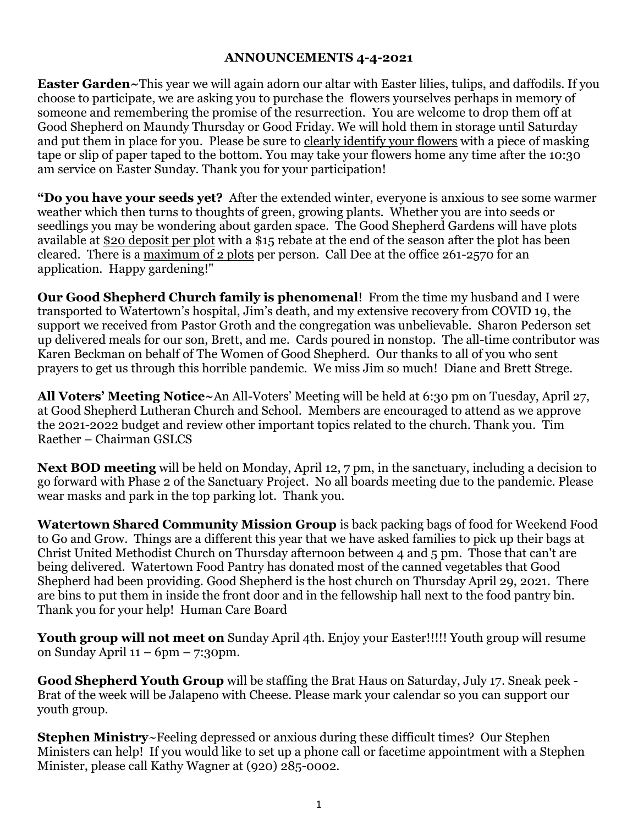## **ANNOUNCEMENTS 4-4-2021**

**Easter Garden~**This year we will again adorn our altar with Easter lilies, tulips, and daffodils. If you choose to participate, we are asking you to purchase the flowers yourselves perhaps in memory of someone and remembering the promise of the resurrection. You are welcome to drop them off at Good Shepherd on Maundy Thursday or Good Friday. We will hold them in storage until Saturday and put them in place for you. Please be sure to clearly identify your flowers with a piece of masking tape or slip of paper taped to the bottom. You may take your flowers home any time after the 10:30 am service on Easter Sunday. Thank you for your participation!

**"Do you have your seeds yet?** After the extended winter, everyone is anxious to see some warmer weather which then turns to thoughts of green, growing plants. Whether you are into seeds or seedlings you may be wondering about garden space. The Good Shepherd Gardens will have plots available at \$20 deposit per plot with a \$15 rebate at the end of the season after the plot has been cleared. There is a maximum of 2 plots per person. Call Dee at the office 261-2570 for an application. Happy gardening!"

**Our Good Shepherd Church family is phenomenal**! From the time my husband and I were transported to Watertown's hospital, Jim's death, and my extensive recovery from COVID 19, the support we received from Pastor Groth and the congregation was unbelievable. Sharon Pederson set up delivered meals for our son, Brett, and me. Cards poured in nonstop. The all-time contributor was Karen Beckman on behalf of The Women of Good Shepherd. Our thanks to all of you who sent prayers to get us through this horrible pandemic. We miss Jim so much! Diane and Brett Strege.

**All Voters' Meeting Notice~**An All-Voters' Meeting will be held at 6:30 pm on Tuesday, April 27, at Good Shepherd Lutheran Church and School. Members are encouraged to attend as we approve the 2021-2022 budget and review other important topics related to the church. Thank you. Tim Raether – Chairman GSLCS

**Next BOD meeting** will be held on Monday, April 12, 7 pm, in the sanctuary, including a decision to go forward with Phase 2 of the Sanctuary Project. No all boards meeting due to the pandemic. Please wear masks and park in the top parking lot. Thank you.

**Watertown Shared Community Mission Group** is back packing bags of food for Weekend Food to Go and Grow. Things are a different this year that we have asked families to pick up their bags at Christ United Methodist Church on Thursday afternoon between 4 and 5 pm. Those that can't are being delivered. Watertown Food Pantry has donated most of the canned vegetables that Good Shepherd had been providing. Good Shepherd is the host church on Thursday April 29, 2021. There are bins to put them in inside the front door and in the fellowship hall next to the food pantry bin. Thank you for your help! Human Care Board

**Youth group will not meet on** Sunday April 4th. Enjoy your Easter!!!!! Youth group will resume on Sunday April  $11 - 6$ pm – 7:30pm.

**Good Shepherd Youth Group** will be staffing the Brat Haus on Saturday, July 17. Sneak peek - Brat of the week will be Jalapeno with Cheese. Please mark your calendar so you can support our youth group.

**Stephen Ministry**~Feeling depressed or anxious during these difficult times? Our Stephen Ministers can help! If you would like to set up a phone call or facetime appointment with a Stephen Minister, please call Kathy Wagner at (920) 285-0002.